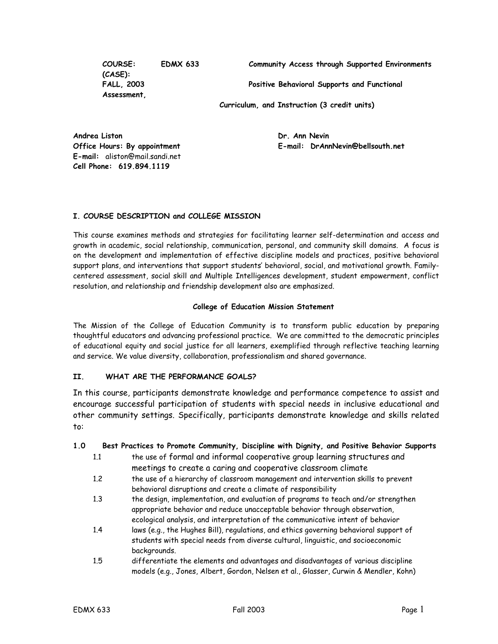**(CASE): Assessment,** 

**COURSE: EDMX 633 Community Access through Supported Environments** 

**FALL, 2003 Positive Behavioral Supports and Functional** 

**Curriculum, and Instruction (3 credit units)** 

**Andrea Liston Community Community Community Community Community Community Community Community Community Community E-mail:** aliston@mail.sandi.net **Cell Phone: 619.894.1119** 

**Office Hours: By appointment E-mail: DrAnnNevin@bellsouth.net** 

## **I. COURSE DESCRIPTION and COLLEGE MISSION**

This course examines methods and strategies for facilitating learner self-determination and access and growth in academic, social relationship, communication, personal, and community skill domains. A focus is on the development and implementation of effective discipline models and practices, positive behavioral support plans, and interventions that support students' behavioral, social, and motivational growth. Familycentered assessment, social skill and Multiple Intelligences development, student empowerment, conflict resolution, and relationship and friendship development also are emphasized.

#### **College of Education Mission Statement**

The Mission of the College of Education Community is to transform public education by preparing thoughtful educators and advancing professional practice. We are committed to the democratic principles of educational equity and social justice for all learners, exemplified through reflective teaching learning and service. We value diversity, collaboration, professionalism and shared governance.

## **II. WHAT ARE THE PERFORMANCE GOALS?**

In this course, participants demonstrate knowledge and performance competence to assist and encourage successful participation of students with special needs in inclusive educational and other community settings. Specifically, participants demonstrate knowledge and skills related to:

## **1.0 Best Practices to Promote Community, Discipline with Dignity, and Positive Behavior Supports**

- 1.1 the use of formal and informal cooperative group learning structures and meetings to create a caring and cooperative classroom climate
- 1.2 the use of a hierarchy of classroom management and intervention skills to prevent behavioral disruptions and create a climate of responsibility
- 1.3 the design, implementation, and evaluation of programs to teach and/or strengthen appropriate behavior and reduce unacceptable behavior through observation, ecological analysis, and interpretation of the communicative intent of behavior
- 1.4 laws (e.g., the Hughes Bill), regulations, and ethics governing behavioral support of students with special needs from diverse cultural, linguistic, and socioeconomic backgrounds.
- 1.5 differentiate the elements and advantages and disadvantages of various discipline models (e.g., Jones, Albert, Gordon, Nelsen et al., Glasser, Curwin & Mendler, Kohn)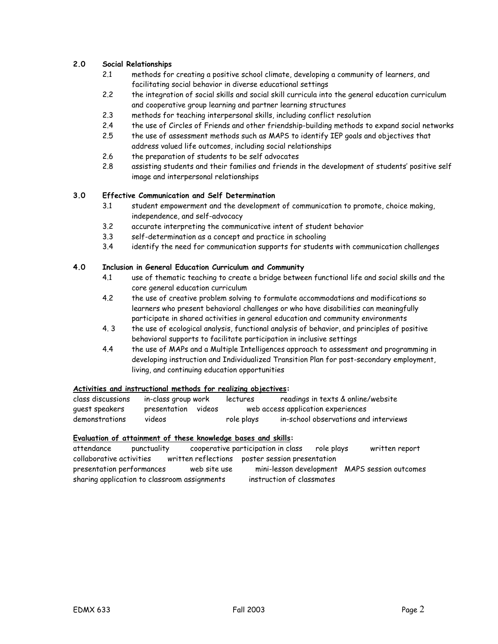## **2.0 Social Relationships**

- 2.1 methods for creating a positive school climate, developing a community of learners, and facilitating social behavior in diverse educational settings
- 2.2 the integration of social skills and social skill curricula into the general education curriculum and cooperative group learning and partner learning structures
- 2.3 methods for teaching interpersonal skills, including conflict resolution
- 2.4 the use of Circles of Friends and other friendship-building methods to expand social networks
- 2.5 the use of assessment methods such as MAPS to identify IEP goals and objectives that address valued life outcomes, including social relationships
- 2.6 the preparation of students to be self advocates
- 2.8 assisting students and their families and friends in the development of students' positive self image and interpersonal relationships

## **3.0 Effective Communication and Self Determination**

- 3.1 student empowerment and the development of communication to promote, choice making, independence, and self-advocacy
- 3.2 accurate interpreting the communicative intent of student behavior
- 3.3 self-determination as a concept and practice in schooling
- 3.4 identify the need for communication supports for students with communication challenges

## **4.0 Inclusion in General Education Curriculum and Community**

- 4.1 use of thematic teaching to create a bridge between functional life and social skills and the core general education curriculum
- 4.2 the use of creative problem solving to formulate accommodations and modifications so learners who present behavioral challenges or who have disabilities can meaningfully participate in shared activities in general education and community environments
- 4. 3 the use of ecological analysis, functional analysis of behavior, and principles of positive behavioral supports to facilitate participation in inclusive settings
- 4.4 the use of MAPs and a Multiple Intelligences approach to assessment and programming in developing instruction and Individualized Transition Plan for post-secondary employment, living, and continuing education opportunities

## **Activities and instructional methods for realizing objectives:**

| class discussions | in-class group work |        | lectures   | readings in texts & online/website    |
|-------------------|---------------------|--------|------------|---------------------------------------|
| quest speakers    | presentation        | videos |            | web access application experiences    |
| demonstrations    | videos              |        | role plays | in-school observations and interviews |

## **Evaluation of attainment of these knowledge bases and skills:**

attendance punctuality cooperative participation in class role plays written report collaborative activities written reflections poster session presentation presentation performances web site use mini-lesson development MAPS session outcomes sharing application to classroom assignments instruction of classmates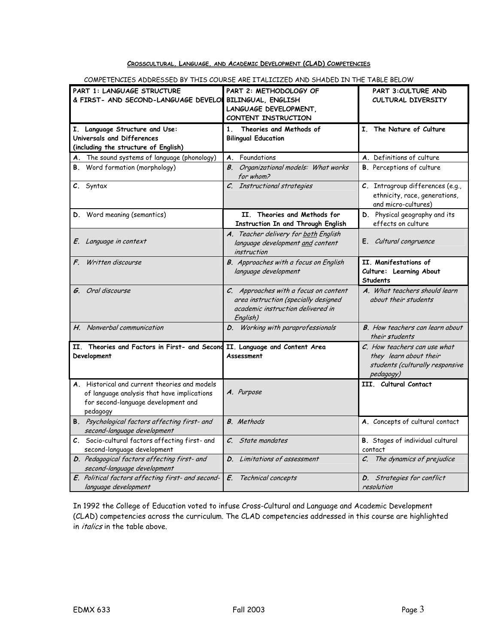## **CROSSCULTURAL, LANGUAGE, AND ACADEMIC DEVELOPMENT (CLAD) COMPETENCIES**

| PART 1: LANGUAGE STRUCTURE<br>& FIRST- AND SECOND-LANGUAGE DEVELOI           | PART 2: METHODOLOGY OF<br><b>BILINGUAL, ENGLISH</b> | PART 3: CULTURE AND<br>CULTURAL DIVERSITY                |
|------------------------------------------------------------------------------|-----------------------------------------------------|----------------------------------------------------------|
|                                                                              | LANGUAGE DEVELOPMENT,                               |                                                          |
|                                                                              | CONTENT INSTRUCTION                                 |                                                          |
| I. Language Structure and Use:                                               | 1<br>Theories and Methods of                        | I. The Nature of Culture                                 |
| Universals and Differences                                                   | <b>Bilingual Education</b>                          |                                                          |
| (including the structure of English)                                         |                                                     |                                                          |
| The sound systems of language (phonology)                                    | Foundations<br>Α.                                   | A. Definitions of culture                                |
| <b>B.</b> Word formation (morphology)                                        | <b>B.</b> Organizational models: What works         | <b>B.</b> Perceptions of culture                         |
|                                                                              | for whom?                                           |                                                          |
| C. Syntax                                                                    | C. Instructional strategies                         | C. Intragroup differences (e.g.,                         |
|                                                                              |                                                     | ethnicity, race, generations,                            |
|                                                                              |                                                     | and micro-cultures)                                      |
| <b>D.</b> Word meaning (semantics)                                           | II. Theories and Methods for                        | D. Physical geography and its                            |
|                                                                              | Instruction In and Through English                  | effects on culture                                       |
|                                                                              | A. Teacher delivery for both English                |                                                          |
| E. Language in context                                                       | language development and content                    | E. Cultural congruence                                   |
|                                                                              | <i>instruction</i>                                  |                                                          |
| F. Written discourse                                                         | <b>B.</b> Approaches with a focus on English        | II. Manifestations of                                    |
|                                                                              | language development                                | Culture: Learning About                                  |
|                                                                              |                                                     | <b>Students</b>                                          |
| <b>G</b> . Oral discourse                                                    | C. Approaches with a focus on content               | A. What teachers should learn                            |
|                                                                              |                                                     |                                                          |
|                                                                              | area instruction (specially designed                | about their students                                     |
|                                                                              | academic instruction delivered in                   |                                                          |
|                                                                              | English)                                            |                                                          |
| H. Nonverbal communication                                                   | D. Working with paraprofessionals                   | <b>B.</b> How teachers can learn about<br>their students |
| II. Theories and Factors in First- and Second                                | II. Language and Content Area                       | C. How teachers can use what                             |
| Development                                                                  | Assessment                                          | they learn about their                                   |
|                                                                              |                                                     | students (culturally responsive                          |
|                                                                              |                                                     | pedagogy)                                                |
| A. Historical and current theories and models                                |                                                     | III. Cultural Contact                                    |
| of language analysis that have implications                                  | A. Purpose                                          |                                                          |
| for second-language development and                                          |                                                     |                                                          |
| pedagogy                                                                     |                                                     |                                                          |
| B. Psychological factors affecting first- and<br>second-language development | <b>B.</b> Methods                                   | A. Concepts of cultural contact                          |
| C. Socio-cultural factors affecting first- and                               | C. State mandates                                   | B. Stages of individual cultural                         |
| second-language development                                                  |                                                     | contact                                                  |
| D. Pedagogical factors affecting first- and                                  | D. Limitations of assessment                        | C. The dynamics of prejudice                             |
| second-language development                                                  |                                                     |                                                          |
| E. Political factors affecting first- and second-<br>language development    | E.<br>Technical concepts                            | D. Strategies for conflict<br>resolution                 |

COMPETENCIES ADDRESSED BY THIS COURSE ARE ITALICIZED AND SHADED IN THE TABLE BELOW

In 1992 the College of Education voted to infuse Cross-Cultural and Language and Academic Development (CLAD) competencies across the curriculum. The CLAD competencies addressed in this course are highlighted in *italics* in the table above.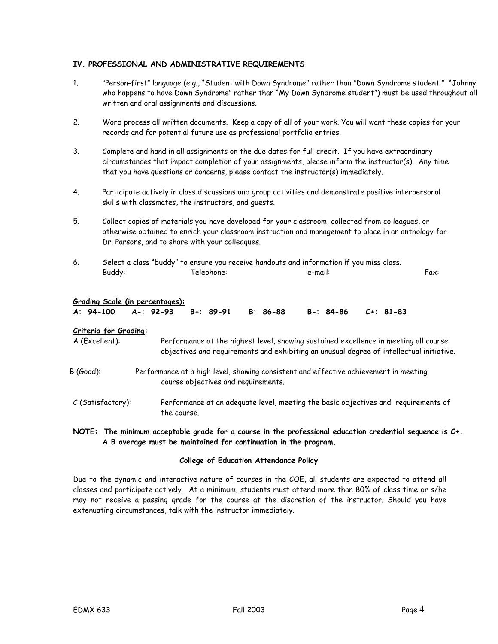## **IV. PROFESSIONAL AND ADMINISTRATIVE REQUIREMENTS**

- 1. "Person-first" language (e.g., "Student with Down Syndrome" rather than "Down Syndrome student;" "Johnny who happens to have Down Syndrome" rather than "My Down Syndrome student") must be used throughout all written and oral assignments and discussions.
- 2. Word process all written documents. Keep a copy of all of your work. You will want these copies for your records and for potential future use as professional portfolio entries.
- 3. Complete and hand in all assignments on the due dates for full credit. If you have extraordinary circumstances that impact completion of your assignments, please inform the instructor(s). Any time that you have questions or concerns, please contact the instructor(s) immediately.
- 4. Participate actively in class discussions and group activities and demonstrate positive interpersonal skills with classmates, the instructors, and guests.
- 5. Collect copies of materials you have developed for your classroom, collected from colleagues, or otherwise obtained to enrich your classroom instruction and management to place in an anthology for Dr. Parsons, and to share with your colleagues.
- 6. Select a class "buddy" to ensure you receive handouts and information if you miss class. Buddy: Telephone: e-mail: Fax:

|  | Grading Scale (in percentages): |  |
|--|---------------------------------|--|
|  |                                 |  |

|  |  |  |  | A: 94-100 A-: 92-93 B+: 89-91 B: 86-88 B-: 84-86 C+: 81-83 |  |
|--|--|--|--|------------------------------------------------------------|--|
|--|--|--|--|------------------------------------------------------------|--|

#### **Criteria for Grading:**

A (Excellent): Performance at the highest level, showing sustained excellence in meeting all course objectives and requirements and exhibiting an unusual degree of intellectual initiative.

- B (Good): Performance at a high level, showing consistent and effective achievement in meeting course objectives and requirements.
- C (Satisfactory): Performance at an adequate level, meeting the basic objectives and requirements of the course.

## **NOTE: The minimum acceptable grade for a course in the professional education credential sequence is C+. A B average must be maintained for continuation in the program.**

## **College of Education Attendance Policy**

Due to the dynamic and interactive nature of courses in the COE, all students are expected to attend all classes and participate actively. At a minimum, students must attend more than 80% of class time or s/he may not receive a passing grade for the course at the discretion of the instructor. Should you have extenuating circumstances, talk with the instructor immediately.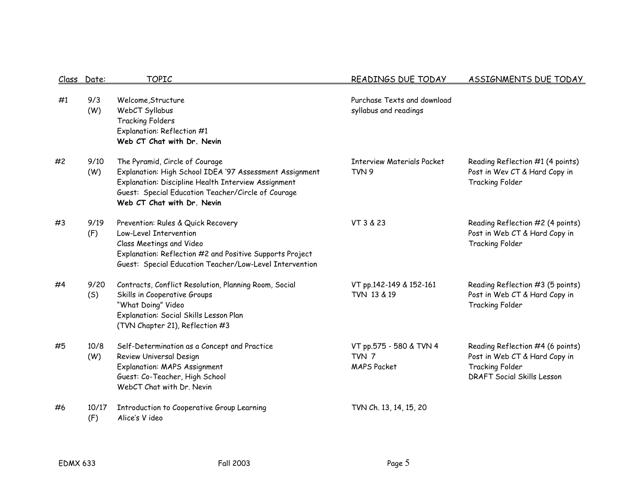| Class | Date:        | <b>TOPIC</b>                                                                                                                                                                                                                         | READINGS DUE TODAY                                     | ASSIGNMENTS DUE TODAY                                                                                                            |
|-------|--------------|--------------------------------------------------------------------------------------------------------------------------------------------------------------------------------------------------------------------------------------|--------------------------------------------------------|----------------------------------------------------------------------------------------------------------------------------------|
| #1    | 9/3<br>(W)   | Welcome, Structure<br>WebCT Syllabus<br><b>Tracking Folders</b><br>Explanation: Reflection #1<br>Web CT Chat with Dr. Nevin                                                                                                          | Purchase Texts and download<br>syllabus and readings   |                                                                                                                                  |
| #2    | 9/10<br>(W)  | The Pyramid, Circle of Courage<br>Explanation: High School IDEA '97 Assessment Assignment<br>Explanation: Discipline Health Interview Assignment<br>Guest: Special Education Teacher/Circle of Courage<br>Web CT Chat with Dr. Nevin | <b>Interview Materials Packet</b><br>TVN 9             | Reading Reflection #1 (4 points)<br>Post in Wev CT & Hard Copy in<br>Tracking Folder                                             |
| #3    | 9/19<br>(F)  | Prevention: Rules & Quick Recovery<br>Low-Level Intervention<br>Class Meetings and Video<br>Explanation: Reflection #2 and Positive Supports Project<br>Guest: Special Education Teacher/Low-Level Intervention                      | VT 3 & 23                                              | Reading Reflection #2 (4 points)<br>Post in Web CT & Hard Copy in<br><b>Tracking Folder</b>                                      |
| #4    | 9/20<br>(S)  | Contracts, Conflict Resolution, Planning Room, Social<br>Skills in Cooperative Groups<br>"What Doing" Video<br>Explanation: Social Skills Lesson Plan<br>(TVN Chapter 21), Reflection #3                                             | VT pp.142-149 & 152-161<br>TVN 13 & 19                 | Reading Reflection #3 (5 points)<br>Post in Web CT & Hard Copy in<br>Tracking Folder                                             |
| #5    | 10/8<br>(W)  | Self-Determination as a Concept and Practice<br>Review Universal Design<br><b>Explanation: MAPS Assignment</b><br>Guest: Co-Teacher, High School<br>WebCT Chat with Dr. Nevin                                                        | VT pp.575 - 580 & TVN 4<br>TVN 7<br><b>MAPS Packet</b> | Reading Reflection #4 (6 points)<br>Post in Web CT & Hard Copy in<br><b>Tracking Folder</b><br><b>DRAFT Social Skills Lesson</b> |
| #6    | 10/17<br>(F) | Introduction to Cooperative Group Learning<br>Alice's Video                                                                                                                                                                          | TVN Ch. 13, 14, 15, 20                                 |                                                                                                                                  |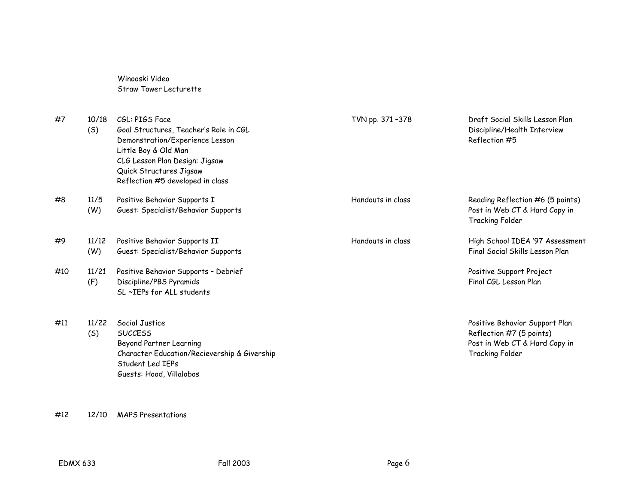Winooski Video Straw Tower Lecturette

| #7  | 10/18<br>(S) | CGL: PIGS Face<br>Goal Structures, Teacher's Role in CGL<br>Demonstration/Experience Lesson<br>Little Boy & Old Man<br>CLG Lesson Plan Design: Jigsaw<br>Quick Structures Jigsaw<br>Reflection #5 developed in class | TVN pp. 371-378   | Draft Social Skills Lesson Plan<br>Discipline/Health Interview<br>Reflection #5                                |
|-----|--------------|----------------------------------------------------------------------------------------------------------------------------------------------------------------------------------------------------------------------|-------------------|----------------------------------------------------------------------------------------------------------------|
| #8  | 11/5<br>(W)  | Positive Behavior Supports I<br>Guest: Specialist/Behavior Supports                                                                                                                                                  | Handouts in class | Reading Reflection #6 (5 points)<br>Post in Web CT & Hard Copy in<br>Tracking Folder                           |
| #9  | 11/12<br>(W) | Positive Behavior Supports II<br>Guest: Specialist/Behavior Supports                                                                                                                                                 | Handouts in class | High School IDEA '97 Assessment<br>Final Social Skills Lesson Plan                                             |
| #10 | 11/21<br>(F) | Positive Behavior Supports - Debrief<br>Discipline/PBS Pyramids<br>SL ~IEPs for ALL students                                                                                                                         |                   | Positive Support Project<br>Final CGL Lesson Plan                                                              |
| #11 | 11/22<br>(S) | Social Justice<br><b>SUCCESS</b><br>Beyond Partner Learning<br>Character Education/Recievership & Givership<br>Student Led IEPs<br>Guests: Hood, Villalobos                                                          |                   | Positive Behavior Support Plan<br>Reflection #7 (5 points)<br>Post in Web CT & Hard Copy in<br>Tracking Folder |

#12 12/10 MAPS Presentations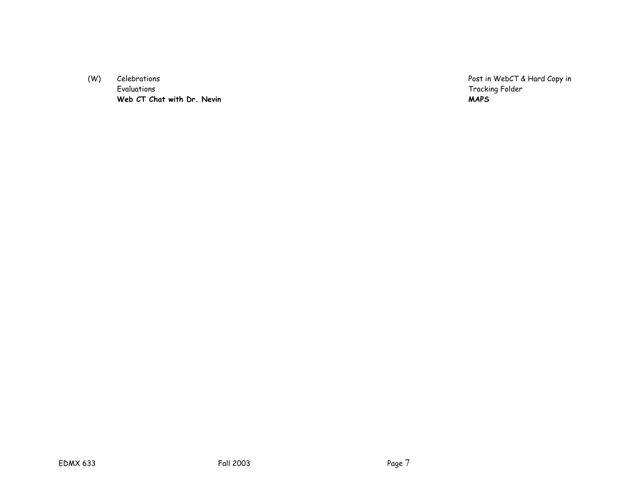(W) Celebrations Celebrations Celebrations Celebrations Celebrations Post in WebCT & Hard Copy in Celebrations<br>Post in WebCT & Hard Copy in Evaluations Web CT Chat with Dr. Nevin Web CT Chat with Dr. Nevin

Tracking Folder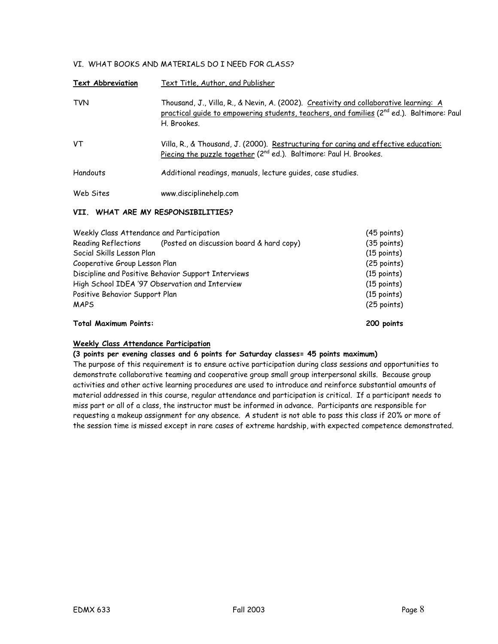## VI. WHAT BOOKS AND MATERIALS DO I NEED FOR CLASS?

| <b>Text Abbreviation</b> | Text Title, Author, and Publisher                                                                                                                                                                             |
|--------------------------|---------------------------------------------------------------------------------------------------------------------------------------------------------------------------------------------------------------|
| <b>TVN</b>               | Thousand, J., Villa, R., & Nevin, A. (2002). Creativity and collaborative learning: A<br>practical quide to empowering students, teachers, and families (2 <sup>nd</sup> ed.). Baltimore: Paul<br>H. Brookes. |
| VT                       | Villa, R., & Thousand, J. (2000). Restructuring for caring and effective education:<br>Piecing the puzzle together (2 <sup>nd</sup> ed.). Baltimore: Paul H. Brookes.                                         |
| Handouts                 | Additional readings, manuals, lecture guides, case studies.                                                                                                                                                   |
| Web Sites                | www.disciplinehelp.com                                                                                                                                                                                        |

## **VII. WHAT ARE MY RESPONSIBILITIES?**

| Weekly Class Attendance and Participation           | $(45$ points)                                  |               |
|-----------------------------------------------------|------------------------------------------------|---------------|
| Reading Reflections                                 | (Posted on discussion board & hard copy)       | $(35$ points) |
| Social Skills Lesson Plan                           |                                                | $(15$ points) |
| Cooperative Group Lesson Plan                       | $(25$ points)                                  |               |
| Discipline and Positive Behavior Support Interviews | $(15$ points)                                  |               |
|                                                     | High School IDEA '97 Observation and Interview | $(15$ points) |
| Positive Behavior Support Plan                      |                                                | $(15$ points) |
| <b>MAPS</b>                                         |                                                | $(25$ points) |
| <b>Total Maximum Points:</b>                        |                                                | 200 points    |

## **Weekly Class Attendance Participation**

#### **(3 points per evening classes and 6 points for Saturday classes= 45 points maximum)**

The purpose of this requirement is to ensure active participation during class sessions and opportunities to demonstrate collaborative teaming and cooperative group small group interpersonal skills. Because group activities and other active learning procedures are used to introduce and reinforce substantial amounts of material addressed in this course, regular attendance and participation is critical. If a participant needs to miss part or all of a class, the instructor must be informed in advance. Participants are responsible for requesting a makeup assignment for any absence. A student is not able to pass this class if 20% or more of the session time is missed except in rare cases of extreme hardship, with expected competence demonstrated.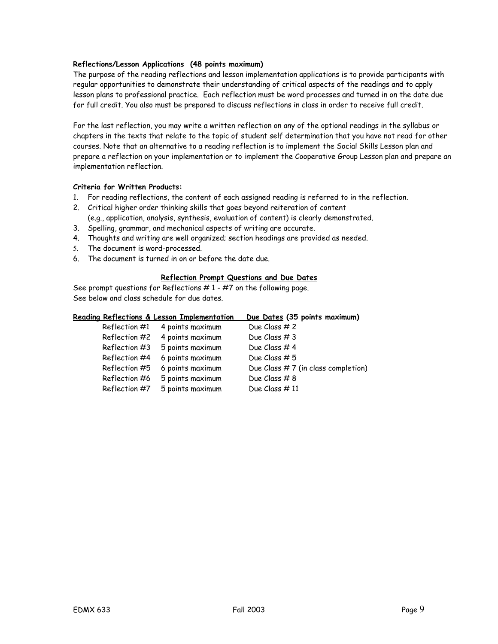## **Reflections/Lesson Applications (48 points maximum)**

The purpose of the reading reflections and lesson implementation applications is to provide participants with regular opportunities to demonstrate their understanding of critical aspects of the readings and to apply lesson plans to professional practice. Each reflection must be word processes and turned in on the date due for full credit. You also must be prepared to discuss reflections in class in order to receive full credit.

For the last reflection, you may write a written reflection on any of the optional readings in the syllabus or chapters in the texts that relate to the topic of student self determination that you have not read for other courses. Note that an alternative to a reading reflection is to implement the Social Skills Lesson plan and prepare a reflection on your implementation or to implement the Cooperative Group Lesson plan and prepare an implementation reflection.

## **Criteria for Written Products:**

- 1. For reading reflections, the content of each assigned reading is referred to in the reflection.
- 2. Critical higher order thinking skills that goes beyond reiteration of content (e.g., application, analysis, synthesis, evaluation of content) is clearly demonstrated.
- 3. Spelling, grammar, and mechanical aspects of writing are accurate.
- 4. Thoughts and writing are well organized; section headings are provided as needed.
- 5. The document is word-processed.
- 6. The document is turned in on or before the date due.

## **Reflection Prompt Questions and Due Dates**

See prompt questions for Reflections  $# 1 - #7$  on the following page. See below and class schedule for due dates.

|               | Reading Reflections & Lesson Implementation | Due Dates (35 points maximum)         |
|---------------|---------------------------------------------|---------------------------------------|
| Reflection #1 | 4 points maximum                            | Due Class # 2                         |
| Reflection #2 | 4 points maximum                            | Due Class $#3$                        |
| Reflection #3 | 5 points maximum                            | Due Class #4                          |
| Reflection #4 | 6 points maximum                            | Due Class $# 5$                       |
| Reflection #5 | 6 points maximum                            | Due Class $# 7$ (in class completion) |
| Reflection #6 | 5 points maximum                            | Due Class #8                          |
| Reflection #7 | 5 points maximum                            | Due Class $#11$                       |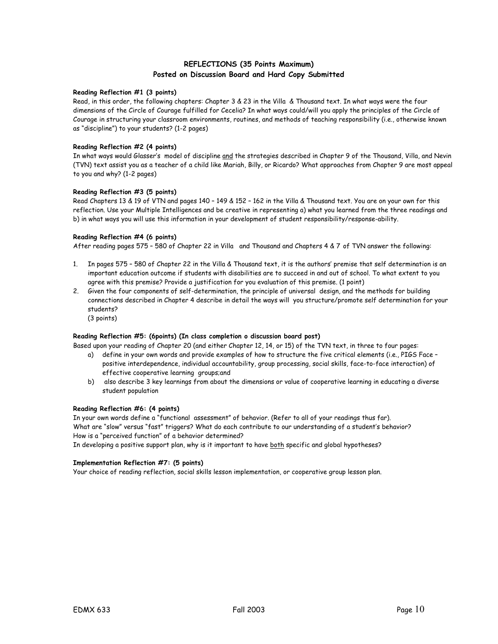## **REFLECTIONS (35 Points Maximum) Posted on Discussion Board and Hard Copy Submitted**

#### **Reading Reflection #1 (3 points)**

Read, in this order, the following chapters: Chapter 3 & 23 in the Villa & Thousand text. In what ways were the four dimensions of the Circle of Courage fulfilled for Cecelia? In what ways could/will you apply the principles of the Circle of Courage in structuring your classroom environments, routines, and methods of teaching responsibility (i.e., otherwise known as "discipline") to your students? (1-2 pages)

#### **Reading Reflection #2 (4 points)**

In what ways would Glasser's model of discipline and the strategies described in Chapter 9 of the Thousand, Villa, and Nevin (TVN) text assist you as a teacher of a child like Mariah, Billy, or Ricardo? What approaches from Chapter 9 are most appeal to you and why? (1-2 pages)

#### **Reading Reflection #3 (5 points)**

Read Chapters 13 & 19 of VTN and pages 140 – 149 & 152 – 162 in the Villa & Thousand text. You are on your own for this reflection. Use your Multiple Intelligences and be creative in representing a) what you learned from the three readings and b) in what ways you will use this information in your development of student responsibility/response-ability.

#### **Reading Reflection #4 (6 points)**

After reading pages 575 – 580 of Chapter 22 in Villa and Thousand and Chapters 4 & 7 of TVN answer the following:

- 1. In pages 575 580 of Chapter 22 in the Villa & Thousand text, it is the authors' premise that self determination is an important education outcome if students with disabilities are to succeed in and out of school. To what extent to you agree with this premise? Provide a justification for you evaluation of this premise. (1 point)
- 2. Given the four components of self-determination, the principle of universal design, and the methods for building connections described in Chapter 4 describe in detail the ways will you structure/promote self determination for your students? (3 points)

#### **Reading Reflection #5: (6points) (In class completion o discussion board post)**

Based upon your reading of Chapter 20 (and either Chapter 12, 14, or 15) of the TVN text, in three to four pages:

- a) define in your own words and provide examples of how to structure the five critical elements (i.e., PIGS Face positive interdependence, individual accountability, group processing, social skills, face-to-face interaction) of effective cooperative learning groups;and
- b) also describe 3 key learnings from about the dimensions or value of cooperative learning in educating a diverse student population

#### **Reading Reflection #6: (4 points)**

In your own words define a "functional assessment" of behavior. (Refer to all of your readings thus far). What are "slow" versus "fast" triggers? What do each contribute to our understanding of a student's behavior? How is a "perceived function" of a behavior determined?

In developing a positive support plan, why is it important to have both specific and global hypotheses?

#### **Implementation Reflection #7: (5 points)**

Your choice of reading reflection, social skills lesson implementation, or cooperative group lesson plan.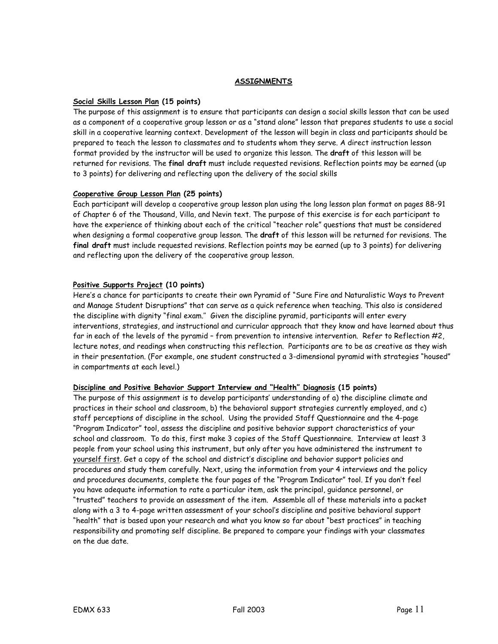## **ASSIGNMENTS**

## **Social Skills Lesson Plan (15 points)**

The purpose of this assignment is to ensure that participants can design a social skills lesson that can be used as a component of a cooperative group lesson or as a "stand alone" lesson that prepares students to use a social skill in a cooperative learning context. Development of the lesson will begin in class and participants should be prepared to teach the lesson to classmates and to students whom they serve. A direct instruction lesson format provided by the instructor will be used to organize this lesson. The **draft** of this lesson will be returned for revisions. The **final draft** must include requested revisions. Reflection points may be earned (up to 3 points) for delivering and reflecting upon the delivery of the social skills

## **Cooperative Group Lesson Plan (25 points)**

Each participant will develop a cooperative group lesson plan using the long lesson plan format on pages 88-91 of Chapter 6 of the Thousand, Villa, and Nevin text. The purpose of this exercise is for each participant to have the experience of thinking about each of the critical "teacher role" questions that must be considered when designing a formal cooperative group lesson. The **draft** of this lesson will be returned for revisions. The **final draft** must include requested revisions. Reflection points may be earned (up to 3 points) for delivering and reflecting upon the delivery of the cooperative group lesson.

## **Positive Supports Project (10 points)**

Here's a chance for participants to create their own Pyramid of "Sure Fire and Naturalistic Ways to Prevent and Manage Student Disruptions" that can serve as a quick reference when teaching. This also is considered the discipline with dignity "final exam.'' Given the discipline pyramid, participants will enter every interventions, strategies, and instructional and curricular approach that they know and have learned about thus far in each of the levels of the pyramid - from prevention to intensive intervention. Refer to Reflection #2, lecture notes, and readings when constructing this reflection. Participants are to be as creative as they wish in their presentation. (For example, one student constructed a 3-dimensional pyramid with strategies "housed" in compartments at each level.)

## **Discipline and Positive Behavior Support Interview and "Health" Diagnosis (15 points)**

The purpose of this assignment is to develop participants' understanding of a) the discipline climate and practices in their school and classroom, b) the behavioral support strategies currently employed, and c) staff perceptions of discipline in the school. Using the provided Staff Questionnaire and the 4-page "Program Indicator" tool, assess the discipline and positive behavior support characteristics of your school and classroom. To do this, first make 3 copies of the Staff Questionnaire. Interview at least 3 people from your school using this instrument, but only after you have administered the instrument to yourself first. Get a copy of the school and district's discipline and behavior support policies and procedures and study them carefully. Next, using the information from your 4 interviews and the policy and procedures documents, complete the four pages of the "Program Indicator" tool. If you don't feel you have adequate information to rate a particular item, ask the principal, guidance personnel, or "trusted" teachers to provide an assessment of the item. Assemble all of these materials into a packet along with a 3 to 4-page written assessment of your school's discipline and positive behavioral support "health" that is based upon your research and what you know so far about "best practices" in teaching responsibility and promoting self discipline. Be prepared to compare your findings with your classmates on the due date.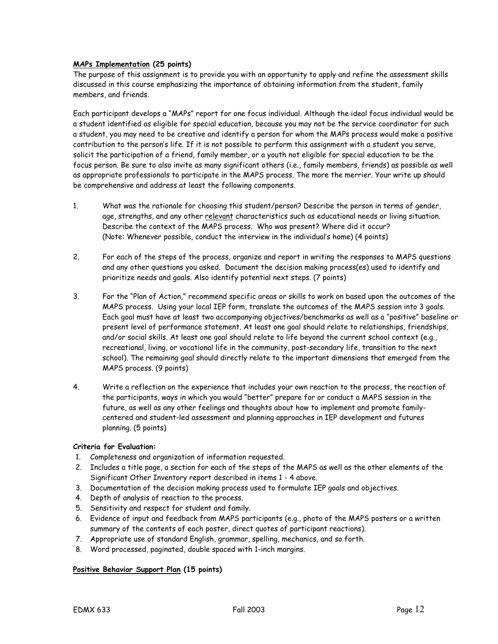## **MAPs Implementation (25 points)**

The purpose of this assignment is to provide you with an opportunity to apply and refine the assessment skills discussed in this course emphasizing the importance of obtaining information from the student, family members, and friends.

Each participant develops a "MAPs" report for one focus individual. Although the ideal focus individual would be a student identified as eligible for special education, because you may not be the service coordinator for such a student, you may need to be creative and identify a person for whom the MAPs process would make a positive contribution to the person's life. If it is not possible to perform this assignment with a student you serve, solicit the participation of a friend, family member, or a youth not eligible for special education to be the focus person. Be sure to also invite as many significant others (i.e., family members, friends) as possible as well as appropriate professionals to participate in the MAPS process. The more the merrier. Your write up should be comprehensive and address at least the following components.

- 1. What was the rationale for choosing this student/person? Describe the person in terms of gender, age, strengths, and any other relevant characteristics such as educational needs or living situation. Describe the context of the MAPS process. Who was present? Where did it occur? (Note: Whenever possible, conduct the interview in the individual's home) (4 points)
- 2. For each of the steps of the process, organize and report in writing the responses to MAPS questions and any other questions you asked. Document the decision making process(es) used to identify and prioritize needs and goals. Also identify potential next steps. (7 points)
- 3. For the "Plan of Action," recommend specific areas or skills to work on based upon the outcomes of the MAPS process. Using your local IEP form, translate the outcomes of the MAPS session into 3 goals. Each goal must have at least two accompanying objectives/benchmarks as well as a "positive" baseline or present level of performance statement. At least one goal should relate to relationships, friendships, and/or social skills. At least one goal should relate to life beyond the current school context (e.g., recreational, living, or vocational life in the community, post-secondary life, transition to the next school). The remaining goal should directly relate to the important dimensions that emerged from the MAPS process. (9 points)
- 4. Write a reflection on the experience that includes your own reaction to the process, the reaction of the participants, ways in which you would "better" prepare for or conduct a MAPS session in the future, as well as any other feelings and thoughts about how to implement and promote familycentered and student-led assessment and planning approaches in IEP development and futures planning. (5 points)

## **Criteria for Evaluation:**

- 1. Completeness and organization of information requested.
- 2. Includes a title page, a section for each of the steps of the MAPS as well as the other elements of the Significant Other Inventory report described in items 1 - 4 above.
- 3. Documentation of the decision making process used to formulate IEP goals and objectives.
- 4. Depth of analysis of reaction to the process.
- 5. Sensitivity and respect for student and family.
- 6. Evidence of input and feedback from MAPS participants (e.g., photo of the MAPS posters or a written summary of the contents of each poster, direct quotes of participant reactions).
- 7. Appropriate use of standard English, grammar, spelling, mechanics, and so forth.
- 8. Word processed, paginated, double spaced with 1-inch margins.

## **Positive Behavior Support Plan (15 points)**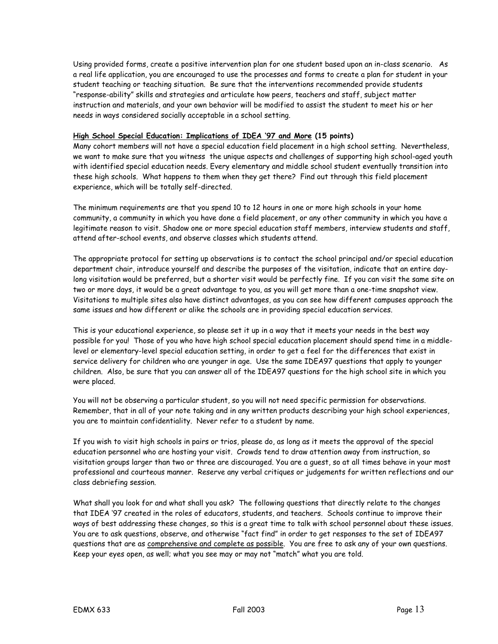Using provided forms, create a positive intervention plan for one student based upon an in-class scenario. As a real life application, you are encouraged to use the processes and forms to create a plan for student in your student teaching or teaching situation. Be sure that the interventions recommended provide students "response-ability" skills and strategies and articulate how peers, teachers and staff, subject matter instruction and materials, and your own behavior will be modified to assist the student to meet his or her needs in ways considered socially acceptable in a school setting.

## **High School Special Education: Implications of IDEA '97 and More (15 points)**

Many cohort members will not have a special education field placement in a high school setting. Nevertheless, we want to make sure that you witness the unique aspects and challenges of supporting high school-aged youth with identified special education needs. Every elementary and middle school student eventually transition into these high schools. What happens to them when they get there? Find out through this field placement experience, which will be totally self-directed.

The minimum requirements are that you spend 10 to 12 hours in one or more high schools in your home community, a community in which you have done a field placement, or any other community in which you have a legitimate reason to visit. Shadow one or more special education staff members, interview students and staff, attend after-school events, and observe classes which students attend.

The appropriate protocol for setting up observations is to contact the school principal and/or special education department chair, introduce yourself and describe the purposes of the visitation, indicate that an entire daylong visitation would be preferred, but a shorter visit would be perfectly fine. If you can visit the same site on two or more days, it would be a great advantage to you, as you will get more than a one-time snapshot view. Visitations to multiple sites also have distinct advantages, as you can see how different campuses approach the same issues and how different or alike the schools are in providing special education services.

This is your educational experience, so please set it up in a way that it meets your needs in the best way possible for you! Those of you who have high school special education placement should spend time in a middlelevel or elementary-level special education setting, in order to get a feel for the differences that exist in service delivery for children who are younger in age. Use the same IDEA97 questions that apply to younger children. Also, be sure that you can answer all of the IDEA97 questions for the high school site in which you were placed.

You will not be observing a particular student, so you will not need specific permission for observations. Remember, that in all of your note taking and in any written products describing your high school experiences, you are to maintain confidentiality. Never refer to a student by name.

If you wish to visit high schools in pairs or trios, please do, as long as it meets the approval of the special education personnel who are hosting your visit. Crowds tend to draw attention away from instruction, so visitation groups larger than two or three are discouraged. You are a guest, so at all times behave in your most professional and courteous manner. Reserve any verbal critiques or judgements for written reflections and our class debriefing session.

What shall you look for and what shall you ask? The following questions that directly relate to the changes that IDEA '97 created in the roles of educators, students, and teachers. Schools continue to improve their ways of best addressing these changes, so this is a great time to talk with school personnel about these issues. You are to ask questions, observe, and otherwise "fact find" in order to get responses to the set of IDEA97 questions that are as comprehensive and complete as possible. You are free to ask any of your own questions. Keep your eyes open, as well; what you see may or may not "match" what you are told.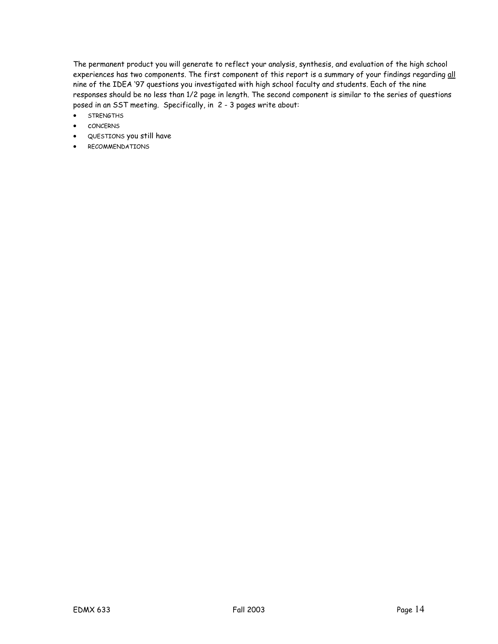The permanent product you will generate to reflect your analysis, synthesis, and evaluation of the high school experiences has two components. The first component of this report is a summary of your findings regarding all nine of the IDEA '97 questions you investigated with high school faculty and students. Each of the nine responses should be no less than 1/2 page in length. The second component is similar to the series of questions posed in an SST meeting. Specifically, in 2 - 3 pages write about:

- **STRENGTHS**
- cONCERNS
- QUESTIONS you still have
- RECOMMENDATIONS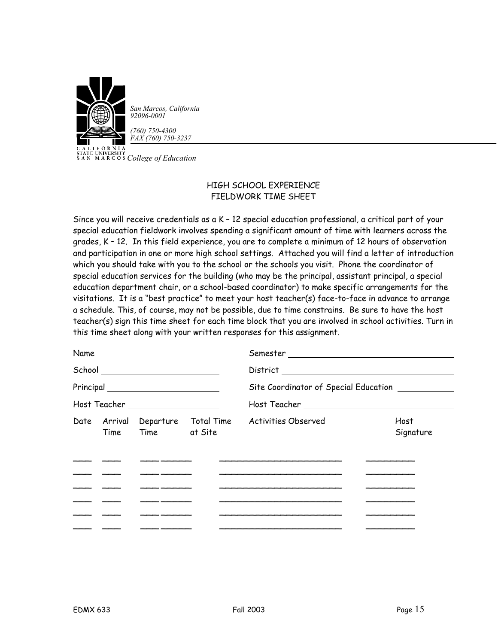

CALITY *COLLEGATE UNIVERSITY*<br>
SAN MARCOS *College of Education* 

## HIGH SCHOOL EXPERIENCE FIELDWORK TIME SHEET

Since you will receive credentials as a K – 12 special education professional, a critical part of your special education fieldwork involves spending a significant amount of time with learners across the grades, K – 12. In this field experience, you are to complete a minimum of 12 hours of observation and participation in one or more high school settings. Attached you will find a letter of introduction which you should take with you to the school or the schools you visit. Phone the coordinator of special education services for the building (who may be the principal, assistant principal, a special education department chair, or a school-based coordinator) to make specific arrangements for the visitations. It is a "best practice" to meet your host teacher(s) face-to-face in advance to arrange a schedule. This, of course, may not be possible, due to time constrains. Be sure to have the host teacher(s) sign this time sheet for each time block that you are involved in school activities. Turn in this time sheet along with your written responses for this assignment.

|            | Name and the state of the state of the state of the state of the state of the state of the state of the state of the state of the state of the state of the state of the state of the state of the state of the state of the s                                                                                              |                                                                                           |                                              |
|------------|-----------------------------------------------------------------------------------------------------------------------------------------------------------------------------------------------------------------------------------------------------------------------------------------------------------------------------|-------------------------------------------------------------------------------------------|----------------------------------------------|
|            | School ___________________________                                                                                                                                                                                                                                                                                          |                                                                                           |                                              |
|            |                                                                                                                                                                                                                                                                                                                             | Site Coordinator of Special Education __________                                          |                                              |
|            | Host Teacher ____________________                                                                                                                                                                                                                                                                                           |                                                                                           |                                              |
|            | Time Time at Site                                                                                                                                                                                                                                                                                                           | Date Arrival Departure Total Time Activities Observed                                     | Host<br>Signature                            |
|            |                                                                                                                                                                                                                                                                                                                             |                                                                                           |                                              |
|            | <u> Alexandro Alexandro Alexandro Alexandro Alexandro Alexandro Alexandro Alexandro Alexandro Alexandro Alexandro Alexandro Alexandro Alexandro Alexandro Alexandro Alexandro Alexandro Alexandro Alexandro Alexandro Alexandro </u><br>$\overline{\phantom{a}}$ . The contract of the contract of $\overline{\phantom{a}}$ | the control of the control of the control of the control of the control of the control of | the control of the control of the control of |
|            |                                                                                                                                                                                                                                                                                                                             |                                                                                           |                                              |
| المستنبذان |                                                                                                                                                                                                                                                                                                                             |                                                                                           |                                              |
|            |                                                                                                                                                                                                                                                                                                                             |                                                                                           |                                              |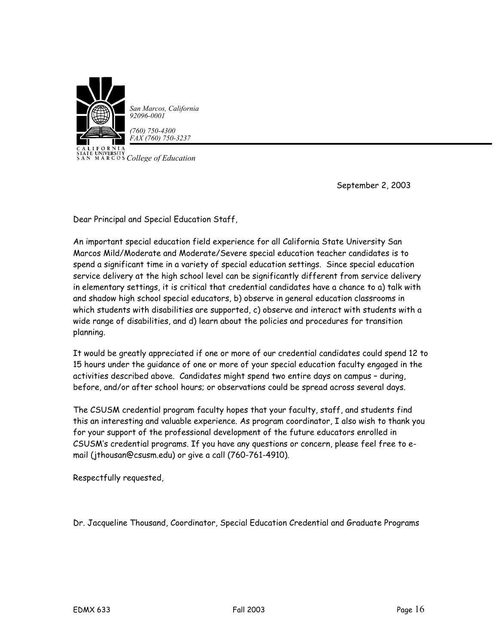

*San Marcos, California 92096-0001*

*(760) 750-4300 FAX (760) 750-3237*

CALITY<br>STATE UNIVERSITY<br>SAN MARCOS *College of Education* 

September 2, 2003

Dear Principal and Special Education Staff,

An important special education field experience for all California State University San Marcos Mild/Moderate and Moderate/Severe special education teacher candidates is to spend a significant time in a variety of special education settings. Since special education service delivery at the high school level can be significantly different from service delivery in elementary settings, it is critical that credential candidates have a chance to a) talk with and shadow high school special educators, b) observe in general education classrooms in which students with disabilities are supported, c) observe and interact with students with a wide range of disabilities, and d) learn about the policies and procedures for transition planning.

It would be greatly appreciated if one or more of our credential candidates could spend 12 to 15 hours under the guidance of one or more of your special education faculty engaged in the activities described above. Candidates might spend two entire days on campus – during, before, and/or after school hours; or observations could be spread across several days.

The CSUSM credential program faculty hopes that your faculty, staff, and students find this an interesting and valuable experience. As program coordinator, I also wish to thank you for your support of the professional development of the future educators enrolled in CSUSM's credential programs. If you have any questions or concern, please feel free to email (jthousan@csusm.edu) or give a call (760-761-4910).

Respectfully requested,

Dr. Jacqueline Thousand, Coordinator, Special Education Credential and Graduate Programs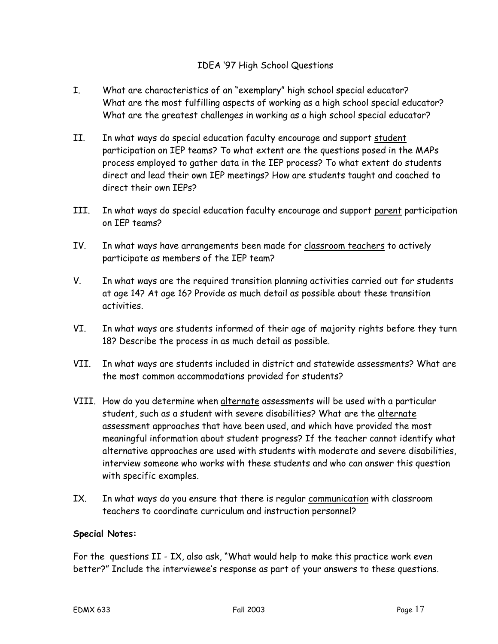## IDEA '97 High School Questions

- I. What are characteristics of an "exemplary" high school special educator? What are the most fulfilling aspects of working as a high school special educator? What are the greatest challenges in working as a high school special educator?
- II. In what ways do special education faculty encourage and support student participation on IEP teams? To what extent are the questions posed in the MAPs process employed to gather data in the IEP process? To what extent do students direct and lead their own IEP meetings? How are students taught and coached to direct their own IEPs?
- III. In what ways do special education faculty encourage and support parent participation on IEP teams?
- IV. In what ways have arrangements been made for classroom teachers to actively participate as members of the IEP team?
- V. In what ways are the required transition planning activities carried out for students at age 14? At age 16? Provide as much detail as possible about these transition activities.
- VI. In what ways are students informed of their age of majority rights before they turn 18? Describe the process in as much detail as possible.
- VII. In what ways are students included in district and statewide assessments? What are the most common accommodations provided for students?
- VIII. How do you determine when alternate assessments will be used with a particular student, such as a student with severe disabilities? What are the alternate assessment approaches that have been used, and which have provided the most meaningful information about student progress? If the teacher cannot identify what alternative approaches are used with students with moderate and severe disabilities, interview someone who works with these students and who can answer this question with specific examples.
- IX. In what ways do you ensure that there is regular communication with classroom teachers to coordinate curriculum and instruction personnel?

## **Special Notes:**

For the questions II - IX, also ask, "What would help to make this practice work even better?" Include the interviewee's response as part of your answers to these questions.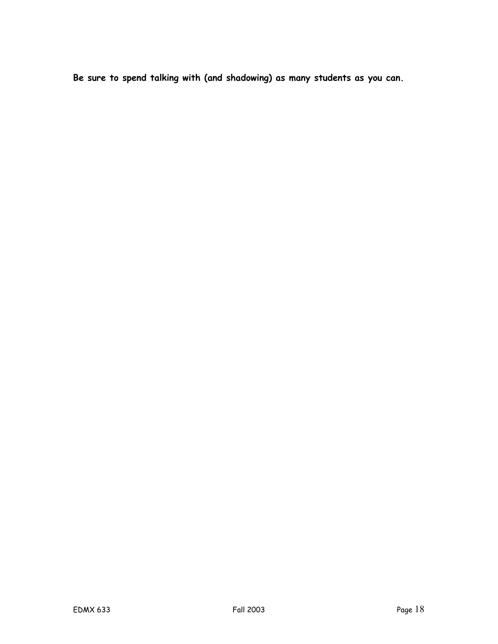**Be sure to spend talking with (and shadowing) as many students as you can.**